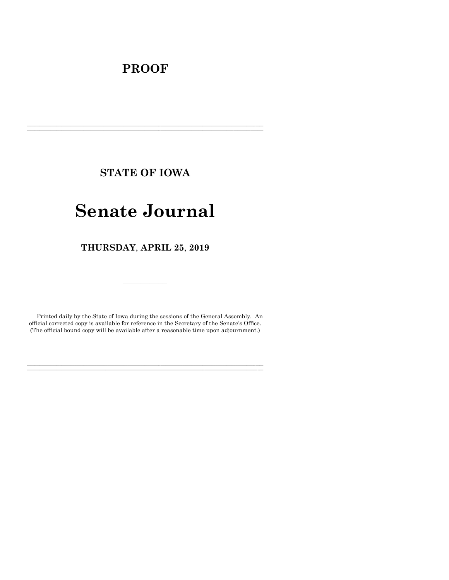# **PROOF**

**STATE OF IOWA**

**\_\_\_\_\_\_\_\_\_\_\_\_\_\_\_\_\_\_\_\_\_\_\_\_\_\_\_\_\_\_\_\_\_\_\_\_\_\_\_\_\_\_\_\_\_\_\_\_\_\_\_\_\_\_\_\_\_\_\_\_\_\_\_\_\_\_\_\_\_\_\_\_\_\_\_\_\_\_\_\_\_\_\_\_\_\_\_\_\_\_\_\_\_\_\_\_\_\_\_\_\_\_\_\_\_\_\_\_\_\_\_\_\_\_\_\_\_\_\_\_\_\_\_\_\_\_\_\_\_ \_\_\_\_\_\_\_\_\_\_\_\_\_\_\_\_\_\_\_\_\_\_\_\_\_\_\_\_\_\_\_\_\_\_\_\_\_\_\_\_\_\_\_\_\_\_\_\_\_\_\_\_\_\_\_\_\_\_\_\_\_\_\_\_\_\_\_\_\_\_\_\_\_\_\_\_\_\_\_\_\_\_\_\_\_\_\_\_\_\_\_\_\_\_\_\_\_\_\_\_\_\_\_\_\_\_\_\_\_\_\_\_\_\_\_\_\_\_\_\_\_\_\_\_\_\_\_\_\_**

# **Senate Journal**

**THURSDAY**, **APRIL 25**, **2019**

Printed daily by the State of Iowa during the sessions of the General Assembly. An official corrected copy is available for reference in the Secretary of the Senate's Office. (The official bound copy will be available after a reasonable time upon adjournment.)

**\_\_\_\_\_\_\_\_\_\_\_\_\_\_\_\_\_\_\_\_\_\_\_\_\_\_\_\_\_\_\_\_\_\_\_\_\_\_\_\_\_\_\_\_\_\_\_\_\_\_\_\_\_\_\_\_\_\_\_\_\_\_\_\_\_\_\_\_\_\_\_\_\_\_\_\_\_\_\_\_\_\_\_\_\_\_\_\_\_\_\_\_\_\_\_\_\_\_\_\_\_\_\_\_\_\_\_\_\_\_\_\_\_\_\_\_\_\_\_\_\_\_\_\_\_\_\_\_\_ \_\_\_\_\_\_\_\_\_\_\_\_\_\_\_\_\_\_\_\_\_\_\_\_\_\_\_\_\_\_\_\_\_\_\_\_\_\_\_\_\_\_\_\_\_\_\_\_\_\_\_\_\_\_\_\_\_\_\_\_\_\_\_\_\_\_\_\_\_\_\_\_\_\_\_\_\_\_\_\_\_\_\_\_\_\_\_\_\_\_\_\_\_\_\_\_\_\_\_\_\_\_\_\_\_\_\_\_\_\_\_\_\_\_\_\_\_\_\_\_\_\_\_\_\_\_\_\_\_**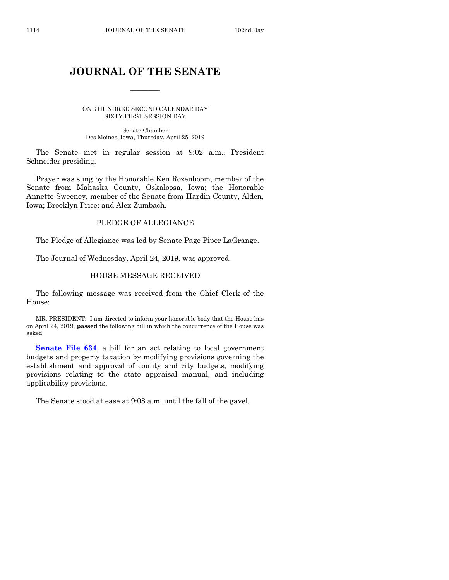# **JOURNAL OF THE SENATE**

 $\overline{\phantom{a}}$ 

ONE HUNDRED SECOND CALENDAR DAY SIXTY-FIRST SESSION DAY

Senate Chamber Des Moines, Iowa, Thursday, April 25, 2019

The Senate met in regular session at 9:02 a.m., President Schneider presiding.

Prayer was sung by the Honorable Ken Rozenboom, member of the Senate from Mahaska County, Oskaloosa, Iowa; the Honorable Annette Sweeney, member of the Senate from Hardin County, Alden, Iowa; Brooklyn Price; and Alex Zumbach.

# PLEDGE OF ALLEGIANCE

The Pledge of Allegiance was led by Senate Page Piper LaGrange.

The Journal of Wednesday, April 24, 2019, was approved.

# HOUSE MESSAGE RECEIVED

The following message was received from the Chief Clerk of the House:

MR. PRESIDENT: I am directed to inform your honorable body that the House has on April 24, 2019, **passed** the following bill in which the concurrence of the House was asked:

**[Senate File 634](https://www.legis.iowa.gov/legislation/BillBook?ga=88&ba=SF634)**, a bill for an act relating to local government budgets and property taxation by modifying provisions governing the establishment and approval of county and city budgets, modifying provisions relating to the state appraisal manual, and including applicability provisions.

The Senate stood at ease at 9:08 a.m. until the fall of the gavel.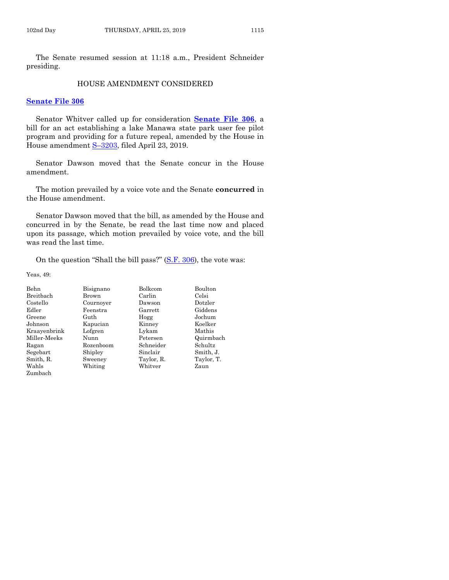The Senate resumed session at 11:18 a.m., President Schneider presiding.

#### HOUSE AMENDMENT CONSIDERED

#### **[Senate File 306](https://www.legis.iowa.gov/legislation/BillBook?ga=88&ba=SF306)**

Senator Whitver called up for consideration **[Senate File 306](https://www.legis.iowa.gov/legislation/BillBook?ga=88&ba=SF306)**, a bill for an act establishing a lake Manawa state park user fee pilot program and providing for a future repeal, amended by the House in House amendment S–[3203,](https://www.legis.iowa.gov/legislation/BillBook?ga=88&ba=S3203) filed April 23, 2019.

Senator Dawson moved that the Senate concur in the House amendment.

The motion prevailed by a voice vote and the Senate **concurred** in the House amendment.

Senator Dawson moved that the bill, as amended by the House and concurred in by the Senate, be read the last time now and placed upon its passage, which motion prevailed by voice vote, and the bill was read the last time.

On the question "Shall the bill pass?" [\(S.F. 306\)](https://www.legis.iowa.gov/legislation/BillBook?ga=88&ba=SF306), the vote was:

| Behn         | Bisignano | Bolkcom    | Boulton    |
|--------------|-----------|------------|------------|
| Breitbach    | Brown     | Carlin     | Celsi      |
| Costello     | Cournover | Dawson     | Dotzler    |
| Edler        | Feenstra  | Garrett    | Giddens    |
| Greene       | Guth      | Hogg       | Jochum     |
| Johnson      | Kapucian  | Kinney     | Koelker    |
| Kraayenbrink | Lofgren   | Lykam      | Mathis     |
| Miller-Meeks | Nunn      | Petersen   | Quirmbach  |
| Ragan        | Rozenboom | Schneider  | Schultz    |
| Segebart     | Shipley   | Sinclair   | Smith, J.  |
| Smith, R.    | Sweeney   | Taylor, R. | Taylor, T. |
| Wahls        | Whiting   | Whitver    | Zaun       |
| Zumbach      |           |            |            |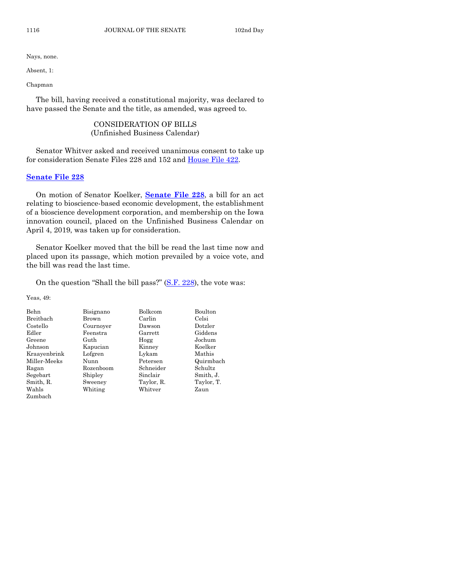Absent, 1:

Chapman

The bill, having received a constitutional majority, was declared to have passed the Senate and the title, as amended, was agreed to.

# CONSIDERATION OF BILLS (Unfinished Business Calendar)

Senator Whitver asked and received unanimous consent to take up for consideration Senate Files 228 and 152 and [House File 422.](https://www.legis.iowa.gov/legislation/BillBook?ga=88&ba=HF422)

#### **[Senate File 228](https://www.legis.iowa.gov/legislation/BillBook?ga=88&ba=SF228)**

On motion of Senator Koelker, **[Senate File 228](https://www.legis.iowa.gov/legislation/BillBook?ga=88&ba=SF228)**, a bill for an act relating to bioscience-based economic development, the establishment of a bioscience development corporation, and membership on the Iowa innovation council, placed on the Unfinished Business Calendar on April 4, 2019, was taken up for consideration.

Senator Koelker moved that the bill be read the last time now and placed upon its passage, which motion prevailed by a voice vote, and the bill was read the last time.

On the question "Shall the bill pass?" [\(S.F. 228\)](https://www.legis.iowa.gov/legislation/BillBook?ga=88&ba=SF228), the vote was:

| Behn         | Bisignano | <b>Bolkcom</b> | Boulton    |
|--------------|-----------|----------------|------------|
| Breitbach    | Brown     | Carlin         | Celsi      |
| Costello     | Cournover | Dawson         | Dotzler    |
| Edler        | Feenstra  | Garrett        | Giddens    |
| Greene       | Guth      | Hogg           | Jochum     |
| Johnson      | Kapucian  | Kinney         | Koelker    |
| Kraayenbrink | Lofgren   | Lykam          | Mathis     |
| Miller-Meeks | Nunn      | Petersen       | Quirmbach  |
| Ragan        | Rozenboom | Schneider      | Schultz    |
| Segebart     | Shipley   | Sinclair       | Smith, J.  |
| Smith, R.    | Sweeney   | Taylor, R.     | Taylor, T. |
| Wahls        | Whiting   | Whitver        | Zaun       |
| Zumbach      |           |                |            |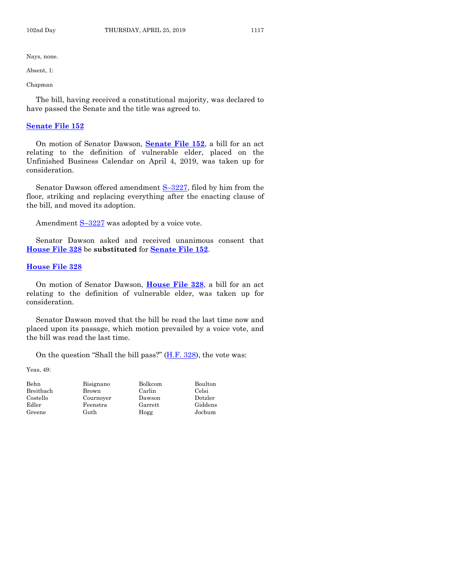Absent, 1:

Chapman

The bill, having received a constitutional majority, was declared to have passed the Senate and the title was agreed to.

#### **[Senate File 152](https://www.legis.iowa.gov/legislation/BillBook?ga=88&ba=SF152)**

On motion of Senator Dawson, **[Senate File 152](https://www.legis.iowa.gov/legislation/BillBook?ga=88&ba=SF152)**, a bill for an act relating to the definition of vulnerable elder, placed on the Unfinished Business Calendar on April 4, 2019, was taken up for consideration.

Senator Dawson offered amendment S-[3227,](https://www.legis.iowa.gov/legislation/BillBook?ga=88&ba=S3227) filed by him from the floor, striking and replacing everything after the enacting clause of the bill, and moved its adoption.

Amendment  $S-3227$  $S-3227$  was adopted by a voice vote.

Senator Dawson asked and received unanimous consent that **[House File 328](https://www.legis.iowa.gov/legislation/BillBook?ga=88&ba=HF328)** be **substituted** for **[Senate File 152](https://www.legis.iowa.gov/legislation/BillBook?ga=88&ba=SF152)**.

## **[House File 328](https://www.legis.iowa.gov/legislation/BillBook?ga=88&ba=HF328)**

On motion of Senator Dawson, **[House File 328](https://www.legis.iowa.gov/legislation/BillBook?ga=88&ba=HF328)**, a bill for an act relating to the definition of vulnerable elder, was taken up for consideration.

Senator Dawson moved that the bill be read the last time now and placed upon its passage, which motion prevailed by a voice vote, and the bill was read the last time.

On the question "Shall the bill pass?" [\(H.F. 328\)](https://www.legis.iowa.gov/legislation/BillBook?ga=88&ba=HF328), the vote was:

| Behn      | Bisignano | <b>Bolkcom</b> | Boulton |
|-----------|-----------|----------------|---------|
| Breitbach | Brown     | Carlin         | Celsi   |
| Costello  | Cournover | Dawson         | Dotzler |
| Edler     | Feenstra  | Garrett        | Giddens |
| Greene    | Guth      | Hogg           | Jochum  |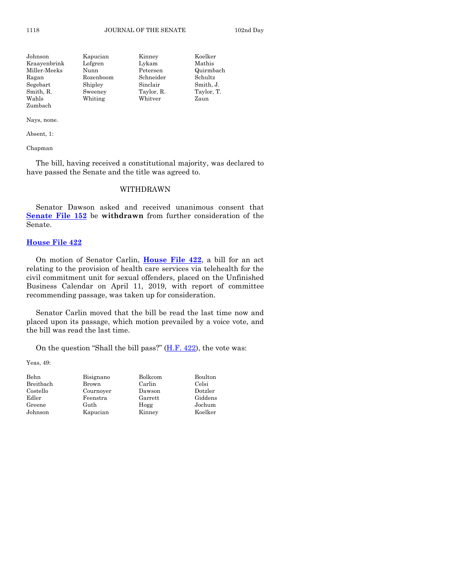| Johnson      | Kapucian  | Kinney     | Koelker    |
|--------------|-----------|------------|------------|
| Kraayenbrink | Lofgren   | Lykam      | Mathis     |
| Miller-Meeks | Nunn      | Petersen   | Quirmbach  |
| Ragan        | Rozenboom | Schneider  | Schultz    |
| Segebart     | Shipley   | Sinclair   | Smith, J.  |
| Smith, R.    | Sweeney   | Taylor, R. | Taylor, T. |
| Wahls        | Whiting   | Whitver    | Zaun       |
| Zumbach      |           |            |            |

Absent, 1:

Chapman

The bill, having received a constitutional majority, was declared to have passed the Senate and the title was agreed to.

#### WITHDRAWN

Senator Dawson asked and received unanimous consent that **[Senate File 152](https://www.legis.iowa.gov/legislation/BillBook?ga=88&ba=SF152)** be **withdrawn** from further consideration of the Senate.

# **[House File 422](https://www.legis.iowa.gov/legislation/BillBook?ga=88&ba=HF422)**

On motion of Senator Carlin, **[House File 422](https://www.legis.iowa.gov/legislation/BillBook?ga=88&ba=HF422)**, a bill for an act relating to the provision of health care services via telehealth for the civil commitment unit for sexual offenders, placed on the Unfinished Business Calendar on April 11, 2019, with report of committee recommending passage, was taken up for consideration.

Senator Carlin moved that the bill be read the last time now and placed upon its passage, which motion prevailed by a voice vote, and the bill was read the last time.

On the question "Shall the bill pass?" [\(H.F. 422\)](https://www.legis.iowa.gov/legislation/BillBook?ga=88&ba=HF422), the vote was:

| Behn      | Bisignano | Bolkcom | Boulton |
|-----------|-----------|---------|---------|
| Breitbach | Brown     | Carlin  | Celsi   |
| Costello  | Cournover | Dawson  | Dotzler |
| Edler     | Feenstra  | Garrett | Giddens |
| Greene    | Guth      | Hogg    | Jochum  |
| Johnson   | Kapucian  | Kinney  | Koelker |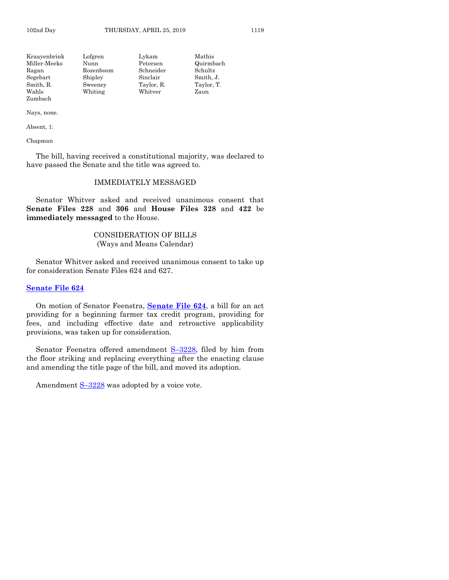| Kraayenbrink | Lofgren   | Lykam      | Mathis     |
|--------------|-----------|------------|------------|
| Miller-Meeks | Nunn      | Petersen   | Quirmbach  |
| Ragan        | Rozenboom | Schneider  | Schultz    |
| Segebart     | Shipley   | Sinclair   | Smith, J.  |
| Smith, R.    | Sweeney   | Taylor, R. | Taylor, T. |
| Wahls        | Whiting   | Whitver    | Zaun       |
| Zumbach      |           |            |            |

Absent, 1:

Chapman

The bill, having received a constitutional majority, was declared to have passed the Senate and the title was agreed to.

# IMMEDIATELY MESSAGED

Senator Whitver asked and received unanimous consent that **Senate Files 228** and **306** and **House Files 328** and **422** be **immediately messaged** to the House.

# CONSIDERATION OF BILLS (Ways and Means Calendar)

Senator Whitver asked and received unanimous consent to take up for consideration Senate Files 624 and 627.

#### **[Senate File 624](https://www.legis.iowa.gov/legislation/BillBook?ga=88&ba=SF624)**

On motion of Senator Feenstra, **[Senate File 624](https://www.legis.iowa.gov/legislation/BillBook?ga=88&ba=SF624)**, a bill for an act providing for a beginning farmer tax credit program, providing for fees, and including effective date and retroactive applicability provisions, was taken up for consideration.

Senator Feenstra offered amendment S–[3228,](https://www.legis.iowa.gov/legislation/BillBook?ga=88&ba=S3228) filed by him from the floor striking and replacing everything after the enacting clause and amending the title page of the bill, and moved its adoption.

Amendment  $S-3228$  $S-3228$  was adopted by a voice vote.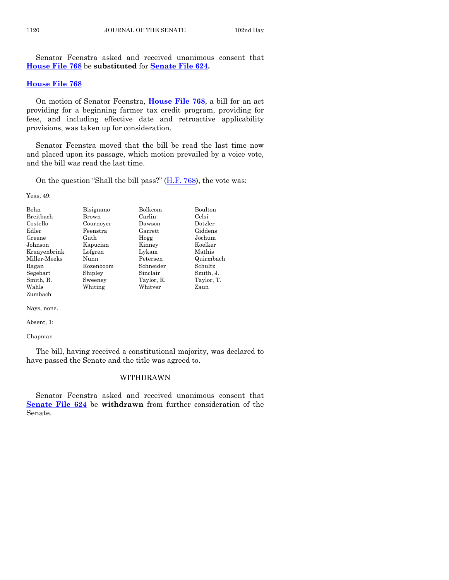Senator Feenstra asked and received unanimous consent that **[House File 768](https://www.legis.iowa.gov/legislation/BillBook?ga=88&ba=HF768)** be **substituted** for **[Senate File 624.](https://www.legis.iowa.gov/legislation/BillBook?ga=88&ba=SF624)** 

#### **[House File 768](https://www.legis.iowa.gov/legislation/BillBook?ga=88&ba=HF768)**

On motion of Senator Feenstra, **[House File 768](https://www.legis.iowa.gov/legislation/BillBook?ga=88&ba=HF768)**, a bill for an act providing for a beginning farmer tax credit program, providing for fees, and including effective date and retroactive applicability provisions, was taken up for consideration.

Senator Feenstra moved that the bill be read the last time now and placed upon its passage, which motion prevailed by a voice vote, and the bill was read the last time.

On the question "Shall the bill pass?"  $(H.F. 768)$ , the vote was:

Yeas, 49:

| <b>Behn</b>  | Bisignano | Bolkcom    | Boulton    |
|--------------|-----------|------------|------------|
| Breitbach    | Brown     | Carlin     | Celsi      |
| Costello     | Cournover | Dawson     | Dotzler    |
| Edler        | Feenstra  | Garrett    | Giddens    |
| Greene       | Guth      | Hogg       | Jochum     |
| Johnson      | Kapucian  | Kinney     | Koelker    |
| Kraayenbrink | Lofgren   | Lykam      | Mathis     |
| Miller-Meeks | Nunn      | Petersen   | Quirmbach  |
| Ragan        | Rozenboom | Schneider  | Schultz    |
| Segebart     | Shipley   | Sinclair   | Smith, J.  |
| Smith, R.    | Sweeney   | Taylor, R. | Taylor, T. |
| Wahls        | Whiting   | Whitver    | Zaun       |
| Zumbach      |           |            |            |

Nays, none.

Absent, 1:

Chapman

The bill, having received a constitutional majority, was declared to have passed the Senate and the title was agreed to.

#### WITHDRAWN

Senator Feenstra asked and received unanimous consent that **[Senate File 624](https://www.legis.iowa.gov/legislation/BillBook?ga=88&ba=SF624)** be **withdrawn** from further consideration of the Senate.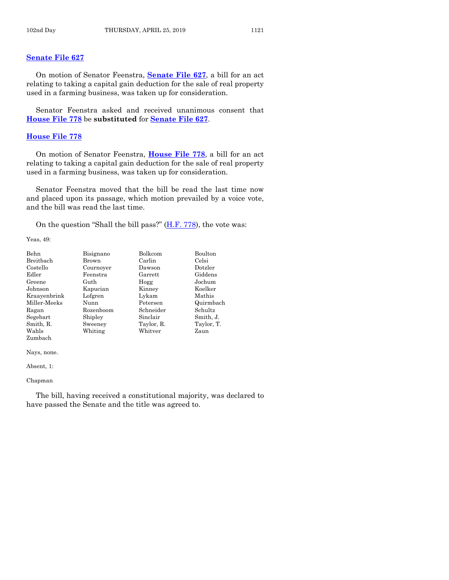# **[Senate File 627](https://www.legis.iowa.gov/legislation/BillBook?ga=88&ba=SF627)**

On motion of Senator Feenstra, **[Senate File 627](https://www.legis.iowa.gov/legislation/BillBook?ga=88&ba=SF627)**, a bill for an act relating to taking a capital gain deduction for the sale of real property used in a farming business, was taken up for consideration.

Senator Feenstra asked and received unanimous consent that **[House File 778](https://www.legis.iowa.gov/legislation/BillBook?ga=88&ba=HF778)** be **substituted** for **[Senate File 627](https://www.legis.iowa.gov/legislation/BillBook?ga=88&ba=SF627)**.

# **[House File 778](https://www.legis.iowa.gov/legislation/BillBook?ga=88&ba=HF778)**

On motion of Senator Feenstra, **[House File 778](https://www.legis.iowa.gov/legislation/BillBook?ga=88&ba=HF778)**, a bill for an act relating to taking a capital gain deduction for the sale of real property used in a farming business, was taken up for consideration.

Senator Feenstra moved that the bill be read the last time now and placed upon its passage, which motion prevailed by a voice vote, and the bill was read the last time.

On the question "Shall the bill pass?" [\(H.F. 778\)](https://www.legis.iowa.gov/legislation/BillBook?ga=88&ba=HF778), the vote was:

Yeas, 49:

| Behn         | Bisignano | Bolkcom    | Boulton    |
|--------------|-----------|------------|------------|
| Breitbach    | Brown     | Carlin     | Celsi      |
| Costello     | Cournoyer | Dawson     | Dotzler    |
| Edler        | Feenstra  | Garrett    | Giddens    |
| Greene       | Guth      | Hogg       | Jochum     |
| Johnson      | Kapucian  | Kinney     | Koelker    |
| Kraayenbrink | Lofgren   | Lykam      | Mathis     |
| Miller-Meeks | Nunn      | Petersen   | Quirmbach  |
| Ragan        | Rozenboom | Schneider  | Schultz    |
| Segebart     | Shipley   | Sinclair   | Smith, J.  |
| Smith, R.    | Sweeney   | Taylor, R. | Taylor, T. |
| Wahls        | Whiting   | Whitver    | Zaun       |
| Zumbach      |           |            |            |

Nays, none.

Absent, 1:

Chapman

The bill, having received a constitutional majority, was declared to have passed the Senate and the title was agreed to.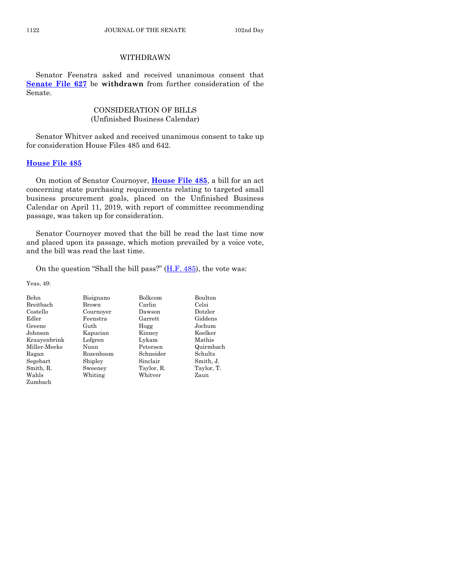# WITHDRAWN

Senator Feenstra asked and received unanimous consent that **[Senate File 627](https://www.legis.iowa.gov/legislation/BillBook?ga=88&ba=SF627)** be **withdrawn** from further consideration of the Senate.

# CONSIDERATION OF BILLS (Unfinished Business Calendar)

Senator Whitver asked and received unanimous consent to take up for consideration House Files 485 and 642.

# **[House File 485](https://www.legis.iowa.gov/legislation/BillBook?ga=88&ba=HF485)**

On motion of Senator Cournoyer, **[House File 485](https://www.legis.iowa.gov/legislation/BillBook?ga=88&ba=HF485)**, a bill for an act concerning state purchasing requirements relating to targeted small business procurement goals, placed on the Unfinished Business Calendar on April 11, 2019, with report of committee recommending passage, was taken up for consideration.

Senator Cournoyer moved that the bill be read the last time now and placed upon its passage, which motion prevailed by a voice vote, and the bill was read the last time.

On the question "Shall the bill pass?"  $(H.F. 485)$ , the vote was:

| <b>Behn</b>  | Bisignano | Bolkcom    | Boulton    |
|--------------|-----------|------------|------------|
| Breitbach    | Brown     | Carlin     | Celsi      |
| Costello     | Cournover | Dawson     | Dotzler    |
| Edler        | Feenstra  | Garrett    | Giddens    |
| Greene       | Guth      | Hogg       | Jochum     |
| Johnson      | Kapucian  | Kinney     | Koelker    |
| Kraayenbrink | Lofgren   | Lykam      | Mathis     |
| Miller-Meeks | Nunn      | Petersen   | Quirmbach  |
| Ragan        | Rozenboom | Schneider  | Schultz    |
| Segebart     | Shipley   | Sinclair   | Smith, J.  |
| Smith, R.    | Sweeney   | Taylor, R. | Taylor, T. |
| Wahls        | Whiting   | Whitver    | Zaun       |
| Zumbach      |           |            |            |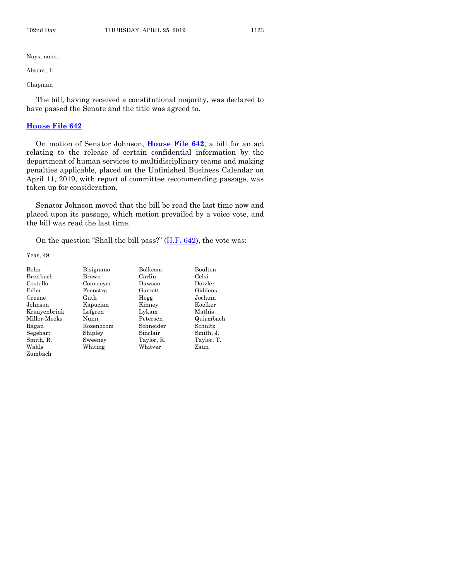Absent, 1:

Chapman

The bill, having received a constitutional majority, was declared to have passed the Senate and the title was agreed to.

#### **[House File 642](https://www.legis.iowa.gov/legislation/BillBook?ga=88&ba=HF642)**

On motion of Senator Johnson, **[House File 642](https://www.legis.iowa.gov/legislation/BillBook?ga=88&ba=HF642)**, a bill for an act relating to the release of certain confidential information by the department of human services to multidisciplinary teams and making penalties applicable, placed on the Unfinished Business Calendar on April 11, 2019, with report of committee recommending passage, was taken up for consideration.

Senator Johnson moved that the bill be read the last time now and placed upon its passage, which motion prevailed by a voice vote, and the bill was read the last time.

On the question "Shall the bill pass?" [\(H.F. 642\)](https://www.legis.iowa.gov/legislation/BillBook?ga=88&ba=HF642), the vote was:

| Behn         | Bisignano | Bolkcom    | Boulton    |
|--------------|-----------|------------|------------|
| Breitbach    | Brown     | Carlin     | Celsi      |
| Costello     | Cournover | Dawson     | Dotzler    |
| Edler        | Feenstra  | Garrett    | Giddens    |
| Greene       | Guth      | Hogg       | Jochum     |
| Johnson      | Kapucian  | Kinney     | Koelker    |
| Kraayenbrink | Lofgren   | Lykam      | Mathis     |
| Miller-Meeks | Nunn      | Petersen   | Quirmbach  |
| Ragan        | Rozenboom | Schneider  | Schultz    |
| Segebart     | Shipley   | Sinclair   | Smith, J.  |
| Smith, R.    | Sweeney   | Taylor, R. | Taylor, T. |
| Wahls        | Whiting   | Whitver    | Zaun       |
| Zumbach      |           |            |            |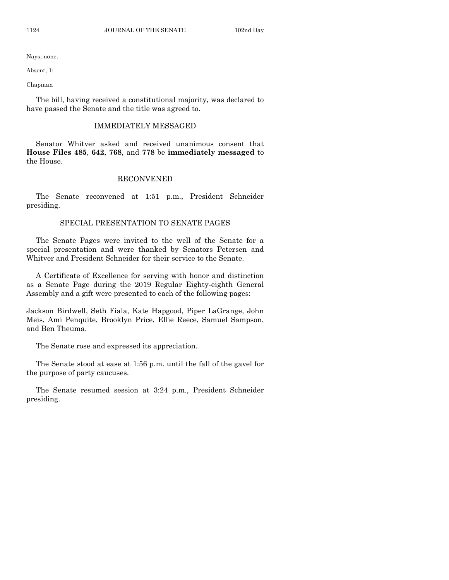Absent, 1:

Chapman

The bill, having received a constitutional majority, was declared to have passed the Senate and the title was agreed to.

#### IMMEDIATELY MESSAGED

Senator Whitver asked and received unanimous consent that **House Files 485**, **642**, **768**, and **778** be **immediately messaged** to the House.

#### RECONVENED

The Senate reconvened at 1:51 p.m., President Schneider presiding.

# SPECIAL PRESENTATION TO SENATE PAGES

The Senate Pages were invited to the well of the Senate for a special presentation and were thanked by Senators Petersen and Whitver and President Schneider for their service to the Senate.

A Certificate of Excellence for serving with honor and distinction as a Senate Page during the 2019 Regular Eighty-eighth General Assembly and a gift were presented to each of the following pages:

Jackson Birdwell, Seth Fiala, Kate Hapgood, Piper LaGrange, John Meis, Ami Penquite, Brooklyn Price, Ellie Reece, Samuel Sampson, and Ben Theuma.

The Senate rose and expressed its appreciation.

The Senate stood at ease at 1:56 p.m. until the fall of the gavel for the purpose of party caucuses.

The Senate resumed session at 3:24 p.m., President Schneider presiding.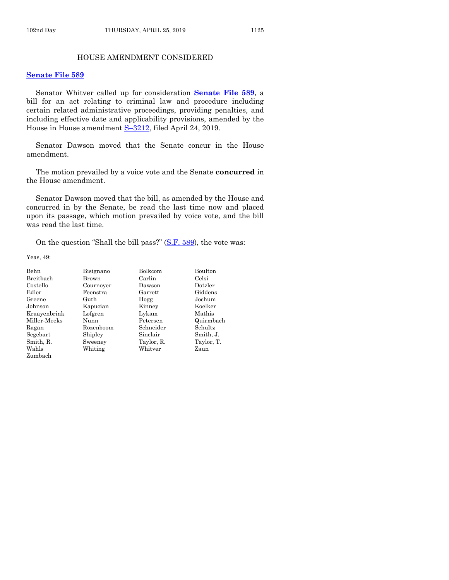# HOUSE AMENDMENT CONSIDERED

#### **[Senate File 589](https://www.legis.iowa.gov/legislation/BillBook?ga=88&ba=SF589)**

Senator Whitver called up for consideration **[Senate File 589](https://www.legis.iowa.gov/legislation/BillBook?ga=88&ba=SF589)**, a bill for an act relating to criminal law and procedure including certain related administrative proceedings, providing penalties, and including effective date and applicability provisions, amended by the House in House amendment S-[3212,](https://www.legis.iowa.gov/legislation/BillBook?ga=88&ba=S3212) filed April 24, 2019.

Senator Dawson moved that the Senate concur in the House amendment.

The motion prevailed by a voice vote and the Senate **concurred** in the House amendment.

Senator Dawson moved that the bill, as amended by the House and concurred in by the Senate, be read the last time now and placed upon its passage, which motion prevailed by voice vote, and the bill was read the last time.

On the question "Shall the bill pass?" [\(S.F. 589\)](https://www.legis.iowa.gov/legislation/BillBook?ga=88&ba=SF589), the vote was:

| Behn         | Bisignano | Bolkcom    | Boulton    |
|--------------|-----------|------------|------------|
| Breitbach    | Brown     | Carlin     | Celsi      |
| Costello     | Cournoyer | Dawson     | Dotzler    |
| Edler        | Feenstra  | Garrett    | Giddens    |
| Greene       | Guth      | Hogg       | Jochum     |
| Johnson      | Kapucian  | Kinney     | Koelker    |
| Kraayenbrink | Lofgren   | Lykam      | Mathis     |
| Miller-Meeks | Nunn      | Petersen   | Quirmbach  |
| Ragan        | Rozenboom | Schneider  | Schultz    |
| Segebart     | Shipley   | Sinclair   | Smith, J.  |
| Smith, R.    | Sweeney   | Taylor, R. | Taylor, T. |
| Wahls        | Whiting   | Whitver    | Zaun       |
| Zumbach      |           |            |            |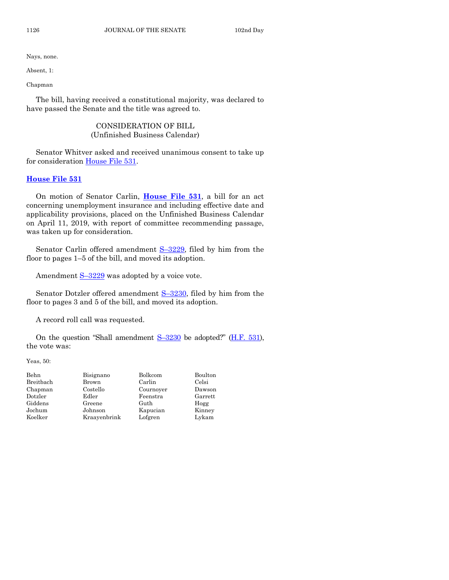Absent, 1:

Chapman

The bill, having received a constitutional majority, was declared to have passed the Senate and the title was agreed to.

# CONSIDERATION OF BILL (Unfinished Business Calendar)

Senator Whitver asked and received unanimous consent to take up for consideration [House File 531.](https://www.legis.iowa.gov/legislation/BillBook?ga=88&ba=HF531)

# **[House File 531](https://www.legis.iowa.gov/legislation/BillBook?ga=88&ba=HF531)**

On motion of Senator Carlin, **[House File 531](https://www.legis.iowa.gov/legislation/BillBook?ga=88&ba=HF531)**, a bill for an act concerning unemployment insurance and including effective date and applicability provisions, placed on the Unfinished Business Calendar on April 11, 2019, with report of committee recommending passage, was taken up for consideration.

Senator Carlin offered amendment  $S-3229$ , filed by him from the floor to pages 1–5 of the bill, and moved its adoption.

Amendment  $S-3229$  $S-3229$  was adopted by a voice vote.

Senator Dotzler offered amendment S-[3230,](https://www.legis.iowa.gov/legislation/BillBook?ga=88&ba=S3230) filed by him from the floor to pages 3 and 5 of the bill, and moved its adoption.

A record roll call was requested.

On the question "Shall amendment  $S-3230$  $S-3230$  be adopted?" [\(H.F. 531\)](https://www.legis.iowa.gov/legislation/BillBook?ga=88&ba=HF531), the vote was:

Yeas, 50:

| Behn      | Bisignano    | Bolkcom   | Boulton |
|-----------|--------------|-----------|---------|
| Breitbach | Brown        | Carlin    | Celsi   |
| Chapman   | Costello     | Cournoyer | Dawson  |
| Dotzler   | Edler        | Feenstra  | Garrett |
| Giddens   | Greene       | Guth      | Hogg    |
| Jochum    | Johnson      | Kapucian  | Kinney  |
| Koelker   | Kraavenbrink | Lofgren   | Lykam   |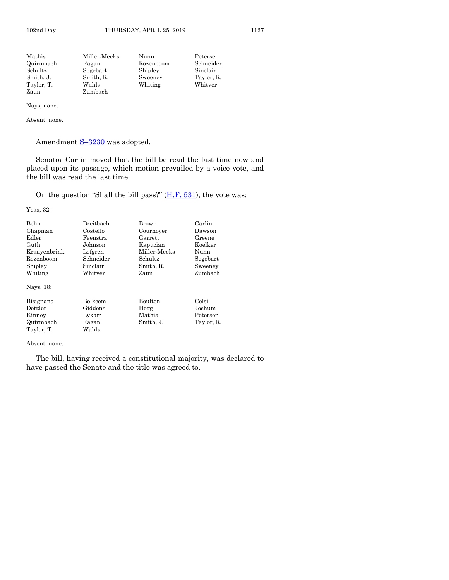| Mathis     | Miller-Meeks<br>Nunn |         | Petersen   |
|------------|----------------------|---------|------------|
| Quirmbach  | Rozenboom<br>Ragan   |         | Schneider  |
| Schultz    | Segebart             | Shipley | Sinclair   |
| Smith, J.  | Smith, R.            | Sweeney | Taylor, R. |
| Taylor, T. | Wahls                | Whiting | Whitver    |
| Zaun       | Zumbach              |         |            |

Absent, none.

Amendment  $S-3230$  $S-3230$  was adopted.

Senator Carlin moved that the bill be read the last time now and placed upon its passage, which motion prevailed by a voice vote, and the bill was read the last time.

On the question "Shall the bill pass?" [\(H.F. 531\)](https://www.legis.iowa.gov/legislation/BillBook?ga=88&ba=HF531), the vote was:

Yeas, 32:

| Behn                                                                   | Breithach                                     | Brown                                         | Carlin                                    |
|------------------------------------------------------------------------|-----------------------------------------------|-----------------------------------------------|-------------------------------------------|
| Chapman                                                                | Costello                                      | Cournoyer                                     | Dawson                                    |
| Edler                                                                  | Feenstra                                      | Garrett                                       | Greene                                    |
| Guth                                                                   | Johnson                                       | Kapucian                                      | Koelker                                   |
| Kraayenbrink                                                           | Lofgren                                       | Miller-Meeks                                  | Nunn                                      |
| Rozenboom                                                              | Schneider                                     | Schultz                                       | Segebart                                  |
| Shipley                                                                | Sinclair                                      | Smith, R.                                     | Sweeney                                   |
| Whiting                                                                | Whitver                                       | Zaun                                          | Zumbach                                   |
| Nays, 18:<br>Bisignano<br>Dotzler<br>Kinney<br>Quirmbach<br>Taylor, T. | Bolkcom<br>Giddens<br>Lykam<br>Ragan<br>Wahls | <b>Boulton</b><br>Hogg<br>Mathis<br>Smith, J. | Celsi<br>Jochum<br>Petersen<br>Taylor, R. |

Absent, none.

The bill, having received a constitutional majority, was declared to have passed the Senate and the title was agreed to.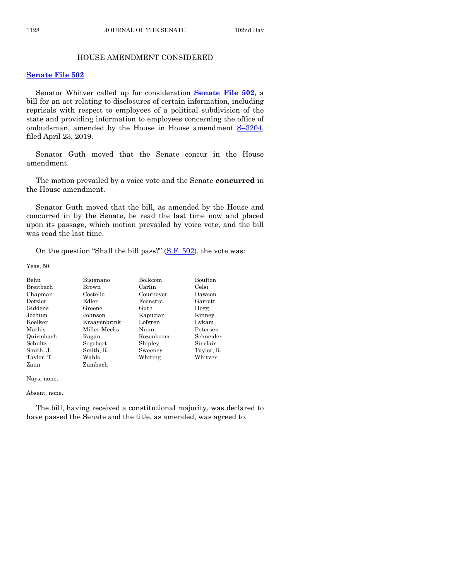# HOUSE AMENDMENT CONSIDERED

#### **[Senate File 502](https://www.legis.iowa.gov/legislation/BillBook?ga=88&ba=SF502)**

Senator Whitver called up for consideration **[Senate File 502](https://www.legis.iowa.gov/legislation/BillBook?ga=88&ba=SF502)**, a bill for an act relating to disclosures of certain information, including reprisals with respect to employees of a political subdivision of the state and providing information to employees concerning the office of ombudsman, amended by the House in House amendment  $S-3204$ , filed April 23, 2019.

Senator Guth moved that the Senate concur in the House amendment.

The motion prevailed by a voice vote and the Senate **concurred** in the House amendment.

Senator Guth moved that the bill, as amended by the House and concurred in by the Senate, be read the last time now and placed upon its passage, which motion prevailed by voice vote, and the bill was read the last time.

On the question "Shall the bill pass?" [\(S.F. 502\)](https://www.legis.iowa.gov/legislation/BillBook?ga=88&ba=SF502), the vote was:

Yeas, 50:

| Behn       | Bisignano    | Bolkcom   | Boulton    |
|------------|--------------|-----------|------------|
| Breitbach  | Brown        | Carlin    | Celsi      |
| Chapman    | Costello     | Cournoyer | Dawson     |
| Dotzler    | Edler        | Feenstra  | Garrett    |
| Giddens    | Greene       | Guth      | Hogg       |
| Jochum     | Johnson      | Kapucian  | Kinney     |
| Koelker    | Kraayenbrink | Lofgren   | Lykam      |
| Mathis     | Miller-Meeks | Nunn      | Petersen   |
| Quirmbach  | Ragan        | Rozenboom | Schneider  |
| Schultz    | Segebart     | Shipley   | Sinclair   |
| Smith, J.  | Smith, R.    | Sweeney   | Taylor, R. |
| Taylor, T. | Wahls        | Whiting   | Whitver    |
| Zaun       | Zumbach      |           |            |

Nays, none.

#### Absent, none.

The bill, having received a constitutional majority, was declared to have passed the Senate and the title, as amended, was agreed to.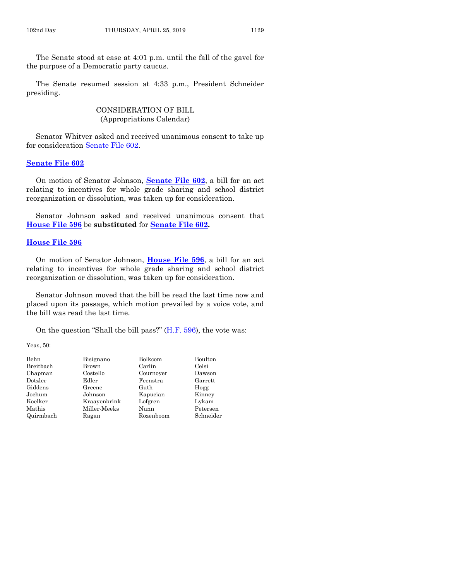The Senate stood at ease at 4:01 p.m. until the fall of the gavel for the purpose of a Democratic party caucus.

The Senate resumed session at 4:33 p.m., President Schneider presiding.

# CONSIDERATION OF BILL (Appropriations Calendar)

Senator Whitver asked and received unanimous consent to take up for consideration [Senate File 602.](https://www.legis.iowa.gov/legislation/BillBook?ga=88&ba=SF602)

## **[Senate File 602](https://www.legis.iowa.gov/legislation/BillBook?ga=88&ba=SF602)**

On motion of Senator Johnson, **[Senate File 602](https://www.legis.iowa.gov/legislation/BillBook?ga=88&ba=SF602)**, a bill for an act relating to incentives for whole grade sharing and school district reorganization or dissolution, was taken up for consideration.

Senator Johnson asked and received unanimous consent that **[House File 596](https://www.legis.iowa.gov/legislation/BillBook?ga=88&ba=HF596)** be **substituted** for **[Senate File 602.](https://www.legis.iowa.gov/legislation/BillBook?ga=88&ba=SF602)** 

#### **[House File 596](https://www.legis.iowa.gov/legislation/BillBook?ga=88&ba=HF596)**

On motion of Senator Johnson, **House [File 596](https://www.legis.iowa.gov/legislation/BillBook?ga=88&ba=HF596)**, a bill for an act relating to incentives for whole grade sharing and school district reorganization or dissolution, was taken up for consideration.

Senator Johnson moved that the bill be read the last time now and placed upon its passage, which motion prevailed by a voice vote, and the bill was read the last time.

On the question "Shall the bill pass?" [\(H.F. 596\)](https://www.legis.iowa.gov/legislation/BillBook?ga=88&ba=HF596), the vote was:

Yeas, 50:

| Behn      | Bisignano    | Bolkcom   | Boulton   |
|-----------|--------------|-----------|-----------|
| Breitbach | Brown        | Carlin    | Celsi     |
| Chapman   | Costello     | Cournoyer | Dawson    |
| Dotzler   | Edler        | Feenstra  | Garrett   |
| Giddens   | Greene       | Guth      | Hogg      |
| Jochum    | Johnson      | Kapucian  | Kinney    |
| Koelker   | Kraavenbrink | Lofgren   | Lykam     |
| Mathis    | Miller-Meeks | Nunn      | Petersen  |
| Quirmbach | Ragan        | Rozenboom | Schneider |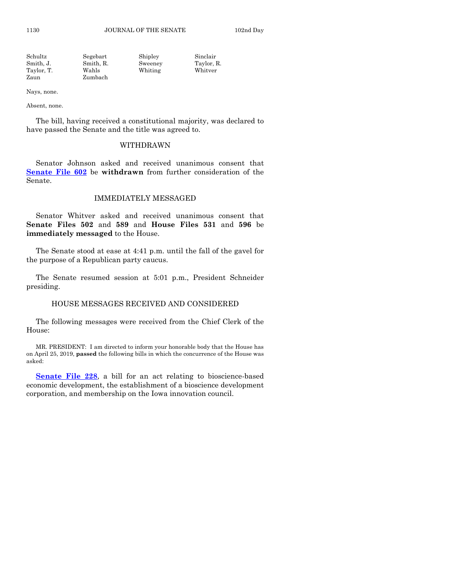| Schultz    | Segebart  | Shipley | Sinclair   |
|------------|-----------|---------|------------|
| Smith. J.  | Smith, R. | Sweeney | Taylor, R. |
| Taylor, T. | Wahls     | Whiting | Whitver    |
| Zaun       | Zumbach   |         |            |

Absent, none.

The bill, having received a constitutional majority, was declared to have passed the Senate and the title was agreed to.

# WITHDRAWN

Senator Johnson asked and received unanimous consent that **[Senate File 602](https://www.legis.iowa.gov/legislation/BillBook?ga=88&ba=SF602)** be **withdrawn** from further consideration of the Senate.

## IMMEDIATELY MESSAGED

Senator Whitver asked and received unanimous consent that **Senate Files 502** and **589** and **House Files 531** and **596** be **immediately messaged** to the House.

The Senate stood at ease at 4:41 p.m. until the fall of the gavel for the purpose of a Republican party caucus.

The Senate resumed session at 5:01 p.m., President Schneider presiding.

#### HOUSE MESSAGES RECEIVED AND CONSIDERED

The following messages were received from the Chief Clerk of the House:

MR. PRESIDENT: I am directed to inform your honorable body that the House has on April 25, 2019, **passed** the following bills in which the concurrence of the House was asked:

**[Senate File 228](https://www.legis.iowa.gov/legislation/BillBook?ga=88&ba=SF228)**, a bill for an act relating to bioscience-based economic development, the establishment of a bioscience development corporation, and membership on the Iowa innovation council.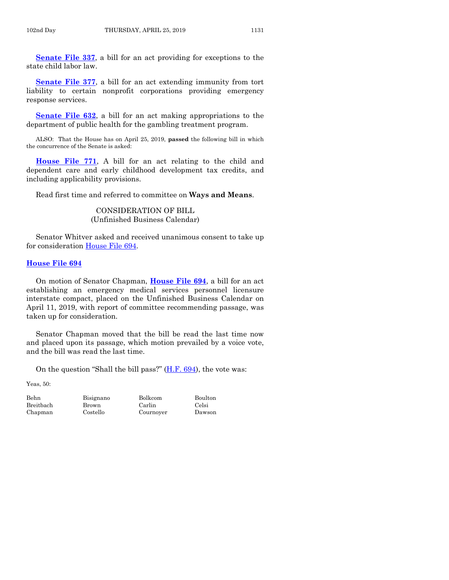**[Senate File 337](https://www.legis.iowa.gov/legislation/BillBook?ga=88&ba=SF337)**, a bill for an act providing for exceptions to the state child labor law.

**[Senate File 377](https://www.legis.iowa.gov/legislation/BillBook?ga=88&ba=SF377)**, a bill for an act extending immunity from tort liability to certain nonprofit corporations providing emergency response services.

**[Senate File 632](https://www.legis.iowa.gov/legislation/BillBook?ga=88&ba=SF632)**, a bill for an act making appropriations to the department of public health for the gambling treatment program.

ALSO: That the House has on April 25, 2019, **passed** the following bill in which the concurrence of the Senate is asked:

**[House File 771](https://www.legis.iowa.gov/legislation/BillBook?ga=88&ba=HF771)**, A bill for an act relating to the child and dependent care and early childhood development tax credits, and including applicability provisions.

Read first time and referred to committee on **Ways and Means**.

CONSIDERATION OF BILL (Unfinished Business Calendar)

Senator Whitver asked and received unanimous consent to take up for consideration [House File 694.](https://www.legis.iowa.gov/legislation/BillBook?ga=88&ba=HF694)

## **[House File 694](https://www.legis.iowa.gov/legislation/BillBook?ga=88&ba=HF694)**

On motion of Senator Chapman, **[House File 694](https://www.legis.iowa.gov/legislation/BillBook?ga=88&ba=HF694)**, a bill for an act establishing an emergency medical services personnel licensure interstate compact, placed on the Unfinished Business Calendar on April 11, 2019, with report of committee recommending passage, was taken up for consideration.

Senator Chapman moved that the bill be read the last time now and placed upon its passage, which motion prevailed by a voice vote, and the bill was read the last time.

On the question "Shall the bill pass?" [\(H.F. 694\)](https://www.legis.iowa.gov/legislation/BillBook?ga=88&ba=HF694), the vote was:

Yeas, 50:

Breitbach Brown Carlin Celsi Chapman Costello Cournoyer Dawson

Behn Bisignano Bolkcom Boulton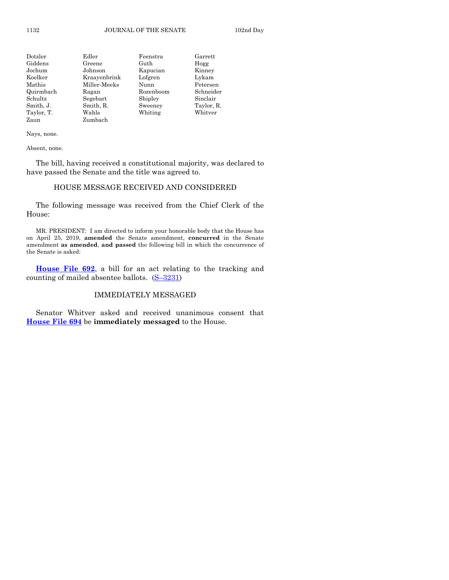| Dotzler    | Edler        | Feenstra  | Garrett    |
|------------|--------------|-----------|------------|
| Giddens    | Greene       | Guth      | Hogg       |
| Jochum     | Johnson      | Kapucian  | Kinney     |
| Koelker    | Kraayenbrink | Lofgren   | Lykam      |
| Mathis     | Miller-Meeks | Nunn      | Petersen   |
| Quirmbach  | Ragan        | Rozenboom | Schneider  |
| Schultz    | Segebart     | Shipley   | Sinclair   |
| Smith, J.  | Smith, R.    | Sweeney   | Taylor, R. |
| Taylor, T. | Wahls        | Whiting   | Whitver    |
| Zaun       | Zumbach      |           |            |

Absent, none.

The bill, having received a constitutional majority, was declared to have passed the Senate and the title was agreed to.

# HOUSE MESSAGE RECEIVED AND CONSIDERED

The following message was received from the Chief Clerk of the House:

MR. PRESIDENT: I am directed to inform your honorable body that the House has on April 25, 2019, **amended** the Senate amendment, **concurred** in the Senate amendment **as amended**, **and passed** the following bill in which the concurrence of the Senate is asked:

**[House File 692](https://www.legis.iowa.gov/legislation/BillBook?ga=88&ba=HF692)**, a bill for an act relating to the tracking and counting of mailed absentee ballots. (S–[3231\)](https://www.legis.iowa.gov/legislation/BillBook?ga=88&ba=S3231)

# IMMEDIATELY MESSAGED

Senator Whitver asked and received unanimous consent that **[House File 694](https://www.legis.iowa.gov/legislation/BillBook?ga=88&ba=HF694)** be **immediately messaged** to the House.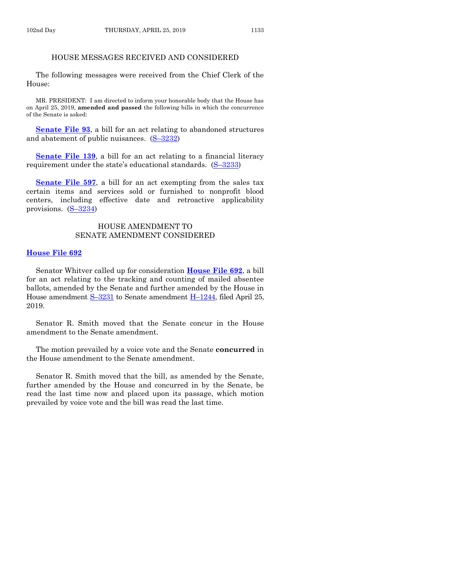# HOUSE MESSAGES RECEIVED AND CONSIDERED

The following messages were received from the Chief Clerk of the House:

MR. PRESIDENT: I am directed to inform your honorable body that the House has on April 25, 2019, **amended and passed** the following bills in which the concurrence of the Senate is asked:

**[Senate File 93](https://www.legis.iowa.gov/legislation/BillBook?ga=88&ba=SF93)**, a bill for an act relating to abandoned structures and abatement of public nuisances. (S–[3232\)](https://www.legis.iowa.gov/legislation/BillBook?ga=88&ba=S3232)

**[Senate File 139](https://www.legis.iowa.gov/legislation/BillBook?ga=88&ba=SF139)**, a bill for an act relating to a financial literacy requirement under the state's educational standards.  $(S-3233)$  $(S-3233)$ 

**[Senate File 597](https://www.legis.iowa.gov/legislation/BillBook?ga=88&ba=SF597)**, a bill for an act exempting from the sales tax certain items and services sold or furnished to nonprofit blood centers, including effective date and retroactive applicability provisions. (S–[3234\)](https://www.legis.iowa.gov/legislation/BillBook?ga=88&ba=S3234)

# HOUSE AMENDMENT TO SENATE AMENDMENT CONSIDERED

#### **[House File 692](https://www.legis.iowa.gov/legislation/BillBook?ga=88&ba=HF692)**

Senator Whitver called up for consideration **[House File 692](https://www.legis.iowa.gov/legislation/BillBook?ga=88&ba=HF692)**, a bill for an act relating to the tracking and counting of mailed absentee ballots, amended by the Senate and further amended by the House in House amendment S-[3231](https://www.legis.iowa.gov/legislation/BillBook?ga=88&ba=S3231) to Senate amendment H-[1244,](https://www.legis.iowa.gov/legislation/BillBook?ga=88&ba=H1244) filed April 25, 2019.

Senator R. Smith moved that the Senate concur in the House amendment to the Senate amendment.

The motion prevailed by a voice vote and the Senate **concurred** in the House amendment to the Senate amendment.

Senator R. Smith moved that the bill, as amended by the Senate, further amended by the House and concurred in by the Senate, be read the last time now and placed upon its passage, which motion prevailed by voice vote and the bill was read the last time.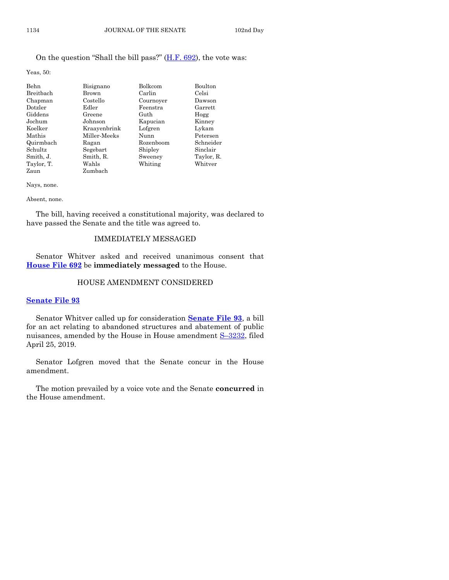# On the question "Shall the bill pass?"  $(H.F. 692)$ , the vote was:

Yeas, 50:

| Behn       | Bisignano    | Bolkcom   | <b>Boulton</b> |
|------------|--------------|-----------|----------------|
| Breitbach  | Brown        | Carlin    | Celsi          |
| Chapman    | Costello     | Cournoyer | Dawson         |
| Dotzler    | Edler        | Feenstra  | Garrett        |
| Giddens    | Greene       | Guth      | Hogg           |
| Jochum     | Johnson      | Kapucian  | Kinney         |
| Koelker    | Kraavenbrink | Lofgren   | Lykam          |
| Mathis     | Miller-Meeks | Nunn      | Petersen       |
| Quirmbach  | Ragan        | Rozenboom | Schneider      |
| Schultz    | Segebart     | Shipley   | Sinclair       |
| Smith, J.  | Smith, R.    | Sweeney   | Taylor, R.     |
| Taylor, T. | Wahls        | Whiting   | Whitver        |
| Zaun       | Zumbach      |           |                |

Nays, none.

Absent, none.

The bill, having received a constitutional majority, was declared to have passed the Senate and the title was agreed to.

# IMMEDIATELY MESSAGED

Senator Whitver asked and received unanimous consent that **[House File 692](https://www.legis.iowa.gov/legislation/BillBook?ga=88&ba=HF692)** be **immediately messaged** to the House.

# HOUSE AMENDMENT CONSIDERED

#### **[Senate File 93](https://www.legis.iowa.gov/legislation/BillBook?ga=88&ba=SF93)**

Senator Whitver called up for consideration **[Senate File 93](https://www.legis.iowa.gov/legislation/BillBook?ga=88&ba=SF93)**, a bill for an act relating to abandoned structures and abatement of public nuisances, amended by the House in House amendment S–[3232,](https://www.legis.iowa.gov/legislation/BillBook?ga=88&ba=S3232) filed April 25, 2019.

Senator Lofgren moved that the Senate concur in the House amendment.

The motion prevailed by a voice vote and the Senate **concurred** in the House amendment.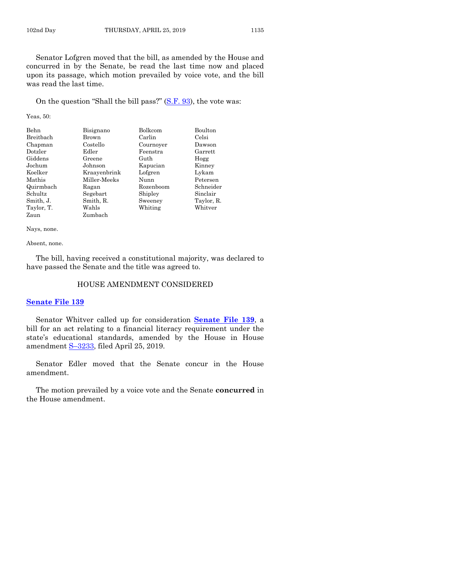Senator Lofgren moved that the bill, as amended by the House and concurred in by the Senate, be read the last time now and placed upon its passage, which motion prevailed by voice vote, and the bill was read the last time.

On the question "Shall the bill pass?" [\(S.F. 93\)](https://www.legis.iowa.gov/legislation/BillBook?ga=88&ba=SF93), the vote was:

Yeas, 50:

| Behn       | Bisignano    | Bolkcom   | Boulton    |
|------------|--------------|-----------|------------|
| Breitbach  | Brown        | Carlin    | Celsi      |
| Chapman    | Costello     | Cournoyer | Dawson     |
| Dotzler    | Edler        | Feenstra  | Garrett    |
| Giddens    | Greene       | Guth      | Hogg       |
| Jochum     | Johnson      | Kapucian  | Kinney     |
| Koelker    | Kraavenbrink | Lofgren   | Lykam      |
| Mathis     | Miller-Meeks | Nunn      | Petersen   |
| Quirmbach  | Ragan        | Rozenboom | Schneider  |
| Schultz    | Segebart     | Shipley   | Sinclair   |
| Smith, J.  | Smith, R.    | Sweeney   | Taylor, R. |
| Taylor, T. | Wahls        | Whiting   | Whitver    |
| Zaun       | Zumbach      |           |            |

Nays, none.

Absent, none.

The bill, having received a constitutional majority, was declared to have passed the Senate and the title was agreed to.

#### HOUSE AMENDMENT CONSIDERED

#### **[Senate File 139](https://www.legis.iowa.gov/legislation/BillBook?ga=88&ba=SF139)**

Senator Whitver called up for consideration **[Senate File 139](https://www.legis.iowa.gov/legislation/BillBook?ga=88&ba=SF139)**, a bill for an act relating to a financial literacy requirement under the state's educational standards, amended by the House in House amendment S–[3233,](https://www.legis.iowa.gov/legislation/BillBook?ga=88&ba=S3233) filed April 25, 2019.

Senator Edler moved that the Senate concur in the House amendment.

The motion prevailed by a voice vote and the Senate **concurred** in the House amendment.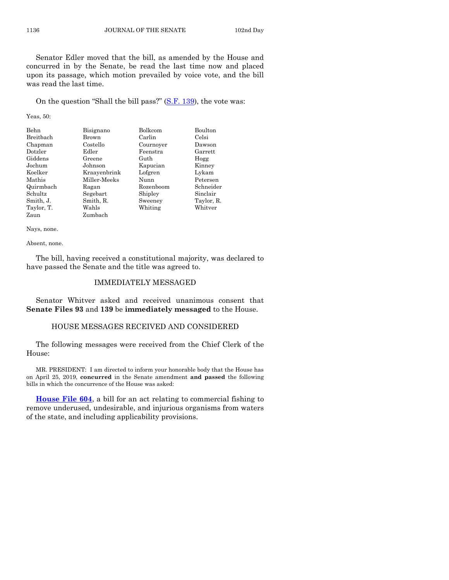Senator Edler moved that the bill, as amended by the House and concurred in by the Senate, be read the last time now and placed upon its passage, which motion prevailed by voice vote, and the bill was read the last time.

On the question "Shall the bill pass?" [\(S.F. 139\)](https://www.legis.iowa.gov/legislation/BillBook?ga=88&ba=SF139), the vote was:

Yeas, 50:

| <b>Behn</b> | Bisignano    | Bolkcom   | Boulton    |
|-------------|--------------|-----------|------------|
| Breitbach   | Brown        | Carlin    | Celsi      |
| Chapman     | Costello     | Cournoyer | Dawson     |
| Dotzler     | Edler        | Feenstra  | Garrett    |
| Giddens     | Greene       | Guth      | Hogg       |
| Jochum      | Johnson      | Kapucian  | Kinney     |
| Koelker     | Kraayenbrink | Lofgren   | Lykam      |
| Mathis      | Miller-Meeks | Nunn      | Petersen   |
| Quirmbach   | Ragan        | Rozenboom | Schneider  |
| Schultz     | Segebart     | Shipley   | Sinclair   |
| Smith, J.   | Smith, R.    | Sweeney   | Taylor, R. |
| Taylor, T.  | Wahls        | Whiting   | Whitver    |
| Zaun        | Zumbach      |           |            |

Nays, none.

Absent, none.

The bill, having received a constitutional majority, was declared to have passed the Senate and the title was agreed to.

#### IMMEDIATELY MESSAGED

Senator Whitver asked and received unanimous consent that **Senate Files 93** and **139** be **immediately messaged** to the House.

#### HOUSE MESSAGES RECEIVED AND CONSIDERED

The following messages were received from the Chief Clerk of the House:

MR. PRESIDENT: I am directed to inform your honorable body that the House has on April 25, 2019, **concurred** in the Senate amendment **and passed** the following bills in which the concurrence of the House was asked:

**[House File 604](https://www.legis.iowa.gov/legislation/BillBook?ga=88&ba=HF604)**, a bill for an act relating to commercial fishing to remove underused, undesirable, and injurious organisms from waters of the state, and including applicability provisions.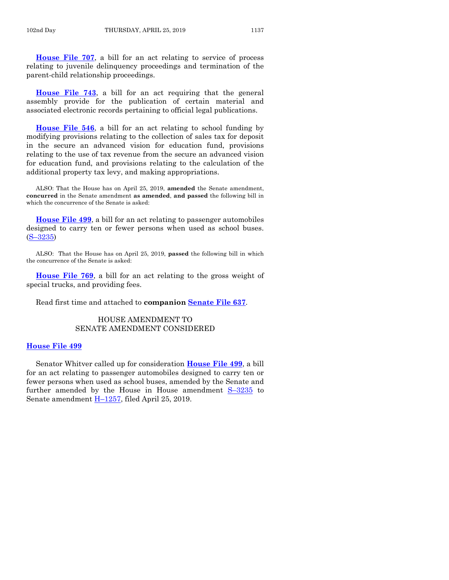**[House File 707](https://www.legis.iowa.gov/legislation/BillBook?ga=88&ba=HF707)**, a bill for an act relating to service of process relating to juvenile delinquency proceedings and termination of the parent-child relationship proceedings.

**[House File 743](https://www.legis.iowa.gov/legislation/BillBook?ga=88&ba=HF743)**, a bill for an act requiring that the general assembly provide for the publication of certain material and associated electronic records pertaining to official legal publications.

**[House File 546](https://www.legis.iowa.gov/legislation/BillBook?ga=88&ba=HF546)**, a bill for an act relating to school funding by modifying provisions relating to the collection of sales tax for deposit in the secure an advanced vision for education fund, provisions relating to the use of tax revenue from the secure an advanced vision for education fund, and provisions relating to the calculation of the additional property tax levy, and making appropriations.

ALSO: That the House has on April 25, 2019, **amended** the Senate amendment, **concurred** in the Senate amendment **as amended**, **and passed** the following bill in which the concurrence of the Senate is asked:

**[House File 499](https://www.legis.iowa.gov/legislation/BillBook?ga=88&ba=HF499)**, a bill for an act relating to passenger automobiles designed to carry ten or fewer persons when used as school buses. (S–[3235\)](https://www.legis.iowa.gov/legislation/BillBook?ga=88&ba=S3235)

ALSO: That the House has on April 25, 2019, **passed** the following bill in which the concurrence of the Senate is asked:

**[House File 769](https://www.legis.iowa.gov/legislation/BillBook?ga=88&ba=HF769)**, a bill for an act relating to the gross weight of special trucks, and providing fees.

Read first time and attached to **companion [Senate File 637](https://www.legis.iowa.gov/legislation/BillBook?ga=88&ba=SF637)**.

# HOUSE AMENDMENT TO SENATE AMENDMENT CONSIDERED

#### **[House File 499](https://www.legis.iowa.gov/legislation/BillBook?ga=88&ba=HF499)**

Senator Whitver called up for consideration **[House File 499](https://www.legis.iowa.gov/legislation/BillBook?ga=88&ba=HF499)**, a bill for an act relating to passenger automobiles designed to carry ten or fewer persons when used as school buses, amended by the Senate and further amended by the House in House amendment S–[3235](https://www.legis.iowa.gov/legislation/BillBook?ga=88&ba=S3235) to Senate amendment H–[1257,](https://www.legis.iowa.gov/legislation/BillBook?ga=88&ba=H1257) filed April 25, 2019.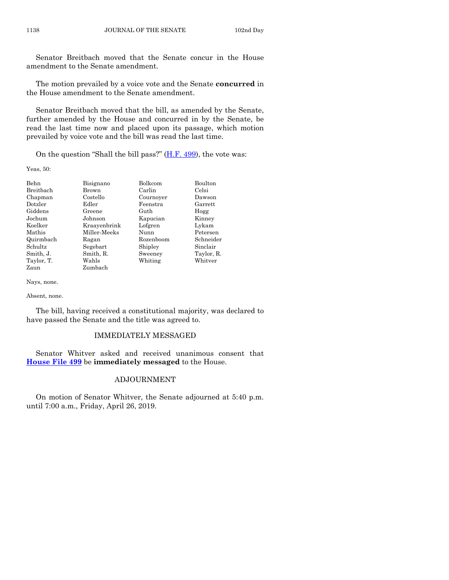Senator Breitbach moved that the Senate concur in the House amendment to the Senate amendment.

The motion prevailed by a voice vote and the Senate **concurred** in the House amendment to the Senate amendment.

Senator Breitbach moved that the bill, as amended by the Senate, further amended by the House and concurred in by the Senate, be read the last time now and placed upon its passage, which motion prevailed by voice vote and the bill was read the last time.

On the question "Shall the bill pass?"  $(H.F. 499)$ , the vote was:

Yeas, 50:

| Behn       | Bisignano    | Bolkcom   | Boulton    |
|------------|--------------|-----------|------------|
| Breitbach  | Brown        | Carlin    | Celsi      |
| Chapman    | Costello     | Cournoyer | Dawson     |
| Dotzler    | Edler        | Feenstra  | Garrett    |
| Giddens    | Greene       | Guth      | Hogg       |
| Jochum     | Johnson      | Kapucian  | Kinney     |
| Koelker    | Kraayenbrink | Lofgren   | Lykam      |
| Mathis     | Miller-Meeks | Nunn      | Petersen   |
| Quirmbach  | Ragan        | Rozenboom | Schneider  |
| Schultz    | Segebart     | Shipley   | Sinclair   |
| Smith, J.  | Smith, R.    | Sweeney   | Taylor, R. |
| Taylor, T. | Wahls        | Whiting   | Whitver    |
| Zaun       | Zumbach      |           |            |

Nays, none.

Absent, none.

The bill, having received a constitutional majority, was declared to have passed the Senate and the title was agreed to.

## IMMEDIATELY MESSAGED

Senator Whitver asked and received unanimous consent that **[House File 499](https://www.legis.iowa.gov/legislation/BillBook?ga=88&ba=HF499)** be **immediately messaged** to the House.

# ADJOURNMENT

On motion of Senator Whitver, the Senate adjourned at 5:40 p.m. until 7:00 a.m., Friday, April 26, 2019.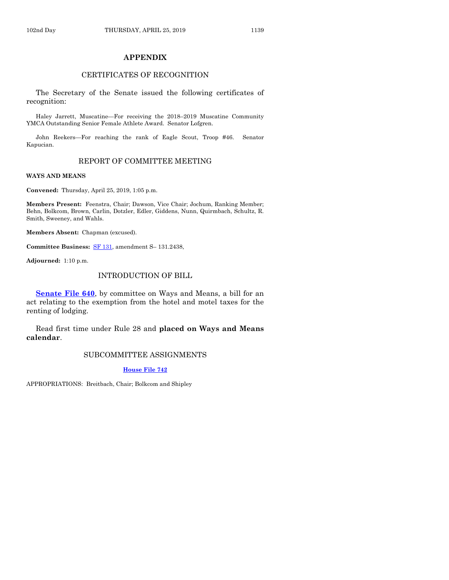# **APPENDIX**

# CERTIFICATES OF RECOGNITION

The Secretary of the Senate issued the following certificates of recognition:

Haley Jarrett, Muscatine—For receiving the 2018–2019 Muscatine Community YMCA Outstanding Senior Female Athlete Award. Senator Lofgren.

John Reekers—For reaching the rank of Eagle Scout, Troop #46. Senator Kapucian.

# REPORT OF COMMITTEE MEETING

#### **WAYS AND MEANS**

**Convened:** Thursday, April 25, 2019, 1:05 p.m.

**Members Present:** Feenstra, Chair; Dawson, Vice Chair; Jochum, Ranking Member; Behn, Bolkcom, Brown, Carlin, Dotzler, Edler, Giddens, Nunn, Quirmbach, Schultz, R. Smith, Sweeney, and Wahls.

**Members Absent:** Chapman (excused).

**Committee Business:** [SF 131,](https://www.legis.iowa.gov/legislation/BillBook?ga=88&ba=SF131) amendment S– 131.2438,

**Adjourned:** 1:10 p.m.

## INTRODUCTION OF BILL

**[Senate File 640](https://www.legis.iowa.gov/legislation/BillBook?ga=88&ba=SF640)**, by committee on Ways and Means, a bill for an act relating to the exemption from the hotel and motel taxes for the renting of lodging.

Read first time under Rule 28 and **placed on Ways and Means calendar**.

# SUBCOMMITTEE ASSIGNMENTS

**[House File 742](https://www.legis.iowa.gov/legislation/BillBook?ga=88&ba=HF742)**

APPROPRIATIONS: Breitbach, Chair; Bolkcom and Shipley